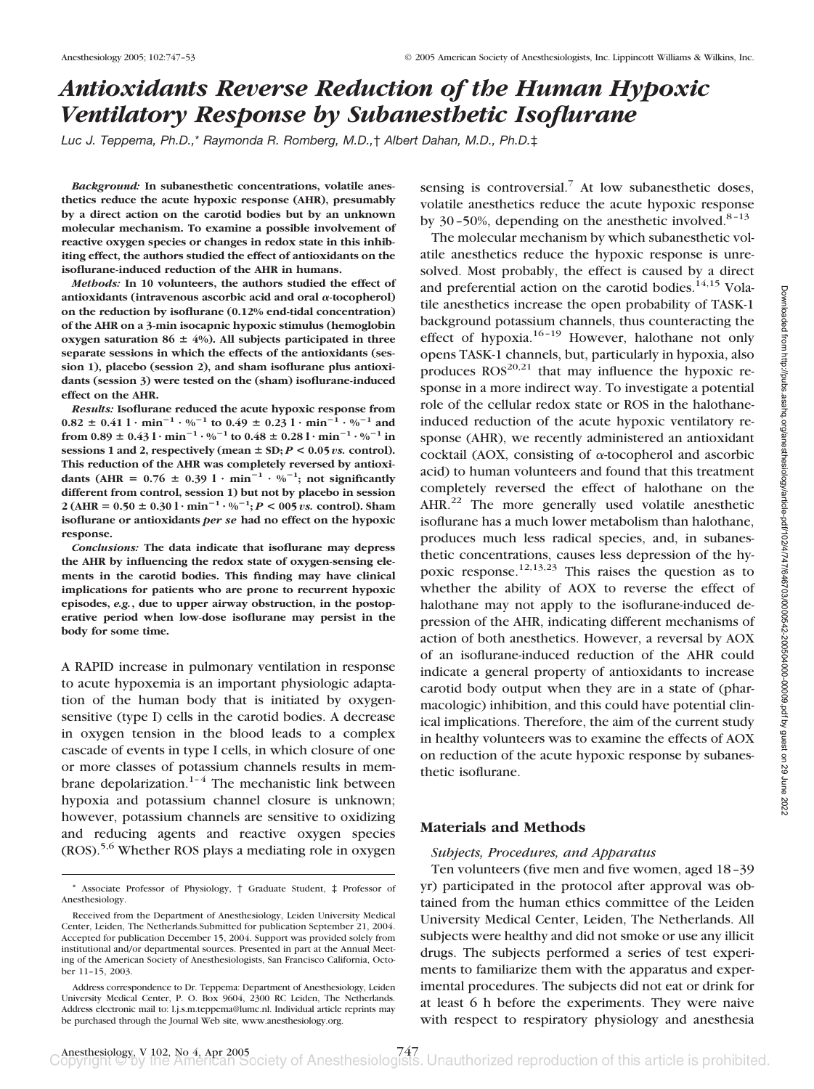# *Antioxidants Reverse Reduction of the Human Hypoxic Ventilatory Response by Subanesthetic Isoflurane*

*Luc J. Teppema, Ph.D.,*\* *Raymonda R. Romberg, M.D.,*† *Albert Dahan, M.D., Ph.D.*‡

*Background:* **In subanesthetic concentrations, volatile anesthetics reduce the acute hypoxic response (AHR), presumably by a direct action on the carotid bodies but by an unknown molecular mechanism. To examine a possible involvement of reactive oxygen species or changes in redox state in this inhibiting effect, the authors studied the effect of antioxidants on the isoflurane-induced reduction of the AHR in humans.**

*Methods:* **In 10 volunteers, the authors studied the effect of** antioxidants (intravenous ascorbic acid and oral  $\alpha$ -tocopherol) **on the reduction by isoflurane (0.12% end-tidal concentration) of the AHR on a 3-min isocapnic hypoxic stimulus (hemoglobin** oxygen saturation  $86 \pm 4\%$ ). All subjects participated in three **separate sessions in which the effects of the antioxidants (session 1), placebo (session 2), and sham isoflurane plus antioxidants (session 3) were tested on the (sham) isoflurane-induced effect on the AHR.**

*Results:* **Isoflurane reduced the acute hypoxic response from**  $0.82 \pm 0.411 \cdot \text{min}^{-1} \cdot \%^{-1}$  to  $0.49 \pm 0.231 \cdot \text{min}^{-1} \cdot \%^{-1}$  and **from**  $0.89 \pm 0.43 \cdot 1 \cdot \text{min}^{-1} \cdot \%^{-1}$  to  $0.48 \pm 0.28 \cdot 1 \cdot \text{min}^{-1} \cdot \%^{-1}$  in sessions 1 and 2, respectively (mean  $\pm$  SD;  $P$  < 0.05 *vs.* control). **This reduction of the AHR was completely reversed by antioxi**dants (AHR =  $0.76 \pm 0.39$  l · min<sup>-1</sup> · %<sup>-1</sup>; not significantly **different from control, session 1) but not by placebo in session**  $2 (AHR = 0.50 \pm 0.301 \cdot \text{min}^{-1} \cdot \frac{9}{6}^{-1}; P < 0.05 \text{ vs. control}).$  Sham **isoflurane or antioxidants** *per se* **had no effect on the hypoxic response.**

*Conclusions:* **The data indicate that isoflurane may depress the AHR by influencing the redox state of oxygen-sensing elements in the carotid bodies. This finding may have clinical implications for patients who are prone to recurrent hypoxic episodes,** *e.g.***, due to upper airway obstruction, in the postoperative period when low-dose isoflurane may persist in the body for some time.**

A RAPID increase in pulmonary ventilation in response to acute hypoxemia is an important physiologic adaptation of the human body that is initiated by oxygensensitive (type I) cells in the carotid bodies. A decrease in oxygen tension in the blood leads to a complex cascade of events in type I cells, in which closure of one or more classes of potassium channels results in membrane depolarization. $1-4$  The mechanistic link between hypoxia and potassium channel closure is unknown; however, potassium channels are sensitive to oxidizing and reducing agents and reactive oxygen species (ROS).5,6 Whether ROS plays a mediating role in oxygen

sensing is controversial.<sup>7</sup> At low subanesthetic doses, volatile anesthetics reduce the acute hypoxic response by 30–50%, depending on the anesthetic involved.<sup>8–13</sup>

The molecular mechanism by which subanesthetic volatile anesthetics reduce the hypoxic response is unresolved. Most probably, the effect is caused by a direct and preferential action on the carotid bodies.<sup>14,15</sup> Volatile anesthetics increase the open probability of TASK-1 background potassium channels, thus counteracting the effect of hypoxia.<sup>16-19</sup> However, halothane not only opens TASK-1 channels, but, particularly in hypoxia, also produces  $ROS^{20,21}$  that may influence the hypoxic response in a more indirect way. To investigate a potential role of the cellular redox state or ROS in the halothaneinduced reduction of the acute hypoxic ventilatory response (AHR), we recently administered an antioxidant cocktail (AOX, consisting of  $\alpha$ -tocopherol and ascorbic acid) to human volunteers and found that this treatment completely reversed the effect of halothane on the AHR.<sup>22</sup> The more generally used volatile anesthetic isoflurane has a much lower metabolism than halothane, produces much less radical species, and, in subanesthetic concentrations, causes less depression of the hypoxic response.<sup>12,13,23</sup> This raises the question as to whether the ability of AOX to reverse the effect of halothane may not apply to the isoflurane-induced depression of the AHR, indicating different mechanisms of action of both anesthetics. However, a reversal by AOX of an isoflurane-induced reduction of the AHR could indicate a general property of antioxidants to increase carotid body output when they are in a state of (pharmacologic) inhibition, and this could have potential clinical implications. Therefore, the aim of the current study in healthy volunteers was to examine the effects of AOX on reduction of the acute hypoxic response by subanesthetic isoflurane.

## **Materials and Methods**

#### *Subjects, Procedures, and Apparatus*

Ten volunteers (five men and five women, aged 18–39 yr) participated in the protocol after approval was obtained from the human ethics committee of the Leiden University Medical Center, Leiden, The Netherlands. All subjects were healthy and did not smoke or use any illicit drugs. The subjects performed a series of test experiments to familiarize them with the apparatus and experimental procedures. The subjects did not eat or drink for at least 6 h before the experiments. They were naive with respect to respiratory physiology and anesthesia

<sup>\*</sup> Associate Professor of Physiology, † Graduate Student, ‡ Professor of Anesthesiology.

Received from the Department of Anesthesiology, Leiden University Medical Center, Leiden, The Netherlands.Submitted for publication September 21, 2004. Accepted for publication December 15, 2004. Support was provided solely from institutional and/or departmental sources. Presented in part at the Annual Meeting of the American Society of Anesthesiologists, San Francisco California, October 11–15, 2003.

Address correspondence to Dr. Teppema: Department of Anesthesiology, Leiden University Medical Center, P. O. Box 9604, 2300 RC Leiden, The Netherlands. Address electronic mail to: l.j.s.m.teppema@lumc.nl. Individual article reprints may be purchased through the Journal Web site, www.anesthesiology.org.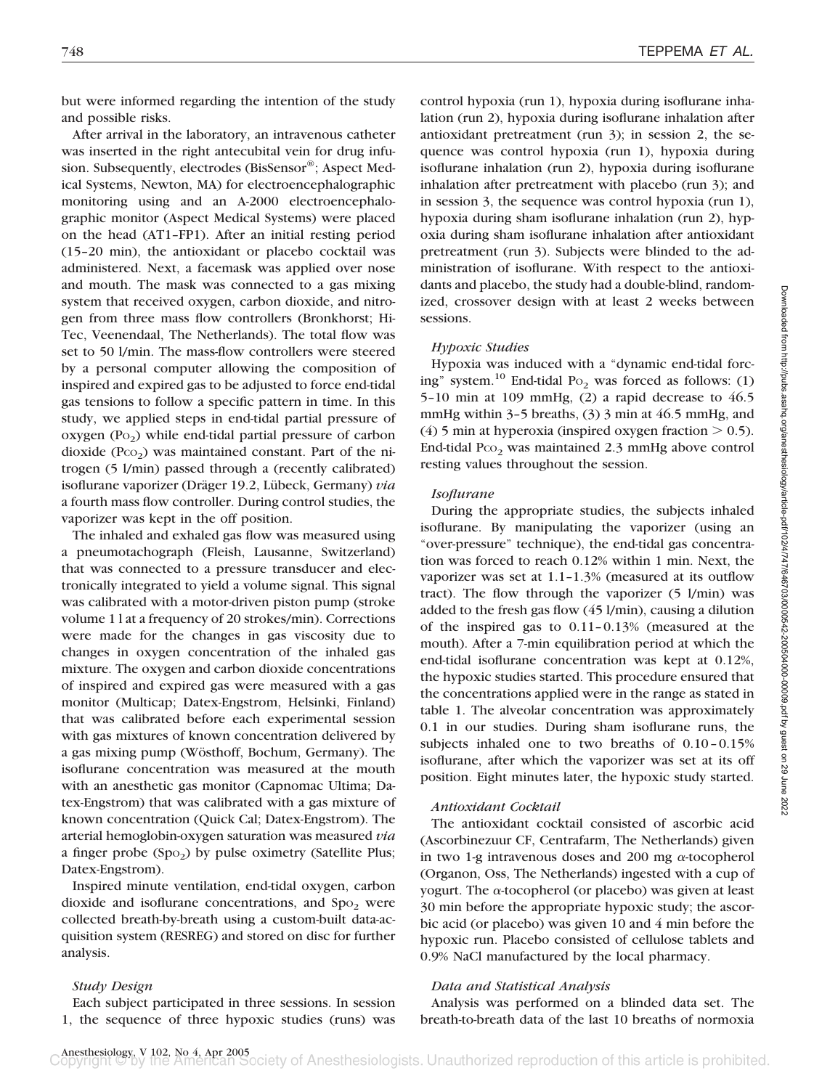but were informed regarding the intention of the study and possible risks.

After arrival in the laboratory, an intravenous catheter was inserted in the right antecubital vein for drug infusion. Subsequently, electrodes (BisSensor®; Aspect Medical Systems, Newton, MA) for electroencephalographic monitoring using and an A-2000 electroencephalographic monitor (Aspect Medical Systems) were placed on the head (AT1–FP1). After an initial resting period (15–20 min), the antioxidant or placebo cocktail was administered. Next, a facemask was applied over nose and mouth. The mask was connected to a gas mixing system that received oxygen, carbon dioxide, and nitrogen from three mass flow controllers (Bronkhorst; Hi-Tec, Veenendaal, The Netherlands). The total flow was set to 50 l/min. The mass-flow controllers were steered by a personal computer allowing the composition of inspired and expired gas to be adjusted to force end-tidal gas tensions to follow a specific pattern in time. In this study, we applied steps in end-tidal partial pressure of oxygen  $(P<sub>0</sub>)$  while end-tidal partial pressure of carbon dioxide  $(PCO<sub>2</sub>)$  was maintained constant. Part of the nitrogen (5 l/min) passed through a (recently calibrated) isoflurane vaporizer (Dräger 19.2, Lübeck, Germany) *via* a fourth mass flow controller. During control studies, the vaporizer was kept in the off position.

The inhaled and exhaled gas flow was measured using a pneumotachograph (Fleish, Lausanne, Switzerland) that was connected to a pressure transducer and electronically integrated to yield a volume signal. This signal was calibrated with a motor-driven piston pump (stroke volume 1 l at a frequency of 20 strokes/min). Corrections were made for the changes in gas viscosity due to changes in oxygen concentration of the inhaled gas mixture. The oxygen and carbon dioxide concentrations of inspired and expired gas were measured with a gas monitor (Multicap; Datex-Engstrom, Helsinki, Finland) that was calibrated before each experimental session with gas mixtures of known concentration delivered by a gas mixing pump (Wösthoff, Bochum, Germany). The isoflurane concentration was measured at the mouth with an anesthetic gas monitor (Capnomac Ultima; Datex-Engstrom) that was calibrated with a gas mixture of known concentration (Quick Cal; Datex-Engstrom). The arterial hemoglobin-oxygen saturation was measured *via* a finger probe  $(Spo<sub>2</sub>)$  by pulse oximetry (Satellite Plus; Datex-Engstrom).

Inspired minute ventilation, end-tidal oxygen, carbon dioxide and isoflurane concentrations, and  $Spo<sub>2</sub>$  were collected breath-by-breath using a custom-built data-acquisition system (RESREG) and stored on disc for further analysis.

#### *Study Design*

Each subject participated in three sessions. In session 1, the sequence of three hypoxic studies (runs) was control hypoxia (run 1), hypoxia during isoflurane inhalation (run 2), hypoxia during isoflurane inhalation after antioxidant pretreatment (run 3); in session 2, the sequence was control hypoxia (run 1), hypoxia during isoflurane inhalation (run 2), hypoxia during isoflurane inhalation after pretreatment with placebo (run 3); and in session 3, the sequence was control hypoxia (run 1), hypoxia during sham isoflurane inhalation (run 2), hypoxia during sham isoflurane inhalation after antioxidant pretreatment (run 3). Subjects were blinded to the administration of isoflurane. With respect to the antioxidants and placebo, the study had a double-blind, randomized, crossover design with at least 2 weeks between sessions.

## *Hypoxic Studies*

Hypoxia was induced with a "dynamic end-tidal forcing" system.<sup>10</sup> End-tidal Po<sub>2</sub> was forced as follows: (1) 5–10 min at 109 mmHg, (2) a rapid decrease to 46.5 mmHg within 3–5 breaths, (3) 3 min at 46.5 mmHg, and (4) 5 min at hyperoxia (inspired oxygen fraction  $> 0.5$ ). End-tidal P $co<sub>2</sub>$  was maintained 2.3 mmHg above control resting values throughout the session.

#### *Isoflurane*

During the appropriate studies, the subjects inhaled isoflurane. By manipulating the vaporizer (using an "over-pressure" technique), the end-tidal gas concentration was forced to reach 0.12% within 1 min. Next, the vaporizer was set at 1.1–1.3% (measured at its outflow tract). The flow through the vaporizer (5 l/min) was added to the fresh gas flow (45 l/min), causing a dilution of the inspired gas to 0.11–0.13% (measured at the mouth). After a 7-min equilibration period at which the end-tidal isoflurane concentration was kept at 0.12%, the hypoxic studies started. This procedure ensured that the concentrations applied were in the range as stated in table 1. The alveolar concentration was approximately 0.1 in our studies. During sham isoflurane runs, the subjects inhaled one to two breaths of 0.10–0.15% isoflurane, after which the vaporizer was set at its off position. Eight minutes later, the hypoxic study started.

### *Antioxidant Cocktail*

The antioxidant cocktail consisted of ascorbic acid (Ascorbinezuur CF, Centrafarm, The Netherlands) given in two 1-g intravenous doses and 200 mg  $\alpha$ -tocopherol (Organon, Oss, The Netherlands) ingested with a cup of yogurt. The  $\alpha$ -tocopherol (or placebo) was given at least 30 min before the appropriate hypoxic study; the ascorbic acid (or placebo) was given 10 and 4 min before the hypoxic run. Placebo consisted of cellulose tablets and 0.9% NaCl manufactured by the local pharmacy.

## *Data and Statistical Analysis*

Analysis was performed on a blinded data set. The breath-to-breath data of the last 10 breaths of normoxia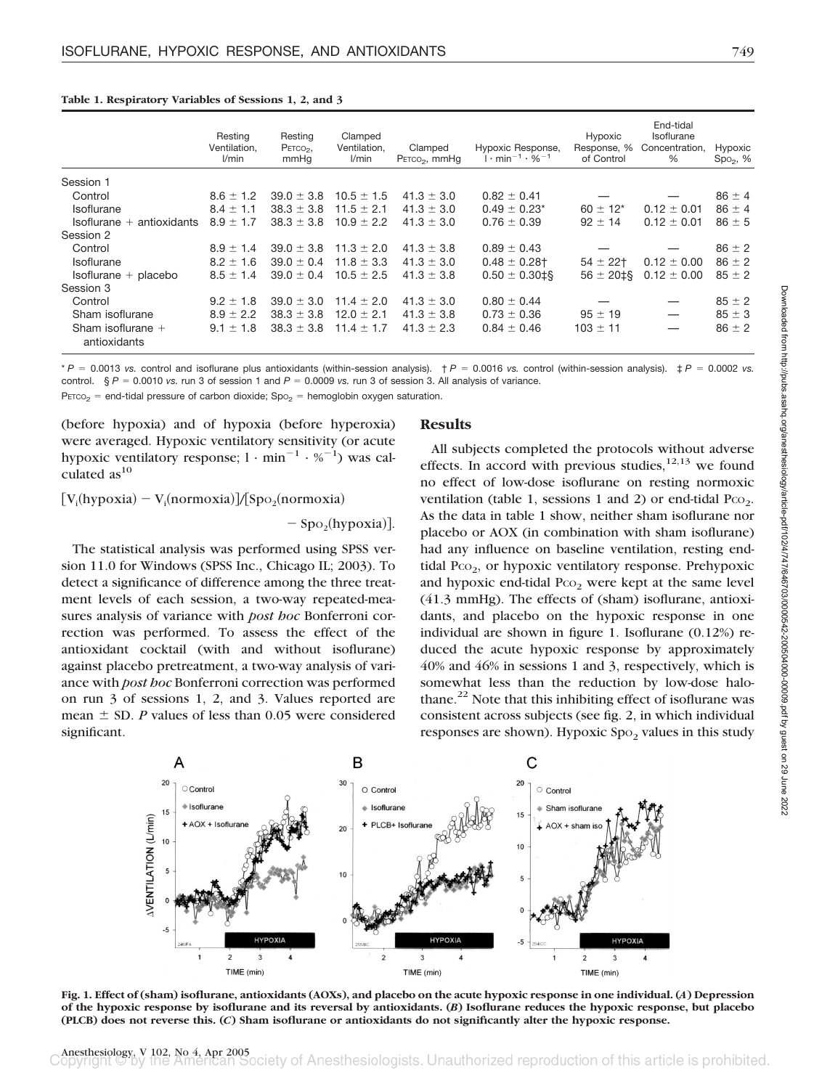|                                     | Resting<br>Ventilation,<br>l/min | Resting<br>PETCO <sub>2</sub> ,<br>mmHq | Clamped<br>Ventilation,<br>l/min | Clamped<br>PETCO <sub>2</sub> , mmHq | Hypoxic Response,<br>$1 \cdot min^{-1} \cdot \%^{-1}$ | Hypoxic<br>Response, %<br>of Control | End-tidal<br>Isoflurane<br>Concentration,<br>% | Hypoxic<br>$Spo2, %$ |
|-------------------------------------|----------------------------------|-----------------------------------------|----------------------------------|--------------------------------------|-------------------------------------------------------|--------------------------------------|------------------------------------------------|----------------------|
| Session 1                           |                                  |                                         |                                  |                                      |                                                       |                                      |                                                |                      |
| Control                             | $8.6 \pm 1.2$                    | $39.0 \pm 3.8$                          | $10.5 \pm 1.5$                   | $41.3 \pm 3.0$                       | $0.82 \pm 0.41$                                       |                                      |                                                | $86 \pm 4$           |
| Isoflurane                          | $8.4 \pm 1.1$                    | $38.3 \pm 3.8$                          | $11.5 \pm 2.1$                   | $41.3 \pm 3.0$                       | $0.49 \pm 0.23^*$                                     | $60 \pm 12^{*}$                      | $0.12 \pm 0.01$                                | $86 \pm 4$           |
| $Isoflurane + antioxidants$         | $8.9 \pm 1.7$                    | $38.3 \pm 3.8$                          | $10.9 \pm 2.2$                   | $41.3 \pm 3.0$                       | $0.76 \pm 0.39$                                       | $92 \pm 14$                          | $0.12 \pm 0.01$                                | $86 \pm 5$           |
| Session 2                           |                                  |                                         |                                  |                                      |                                                       |                                      |                                                |                      |
| Control                             | $8.9 \pm 1.4$                    | $39.0 \pm 3.8$                          | $11.3 \pm 2.0$                   | $41.3 \pm 3.8$                       | $0.89 \pm 0.43$                                       |                                      |                                                | $86 \pm 2$           |
| Isoflurane                          | $8.2 \pm 1.6$                    | $39.0 \pm 0.4$                          | $11.8 \pm 3.3$                   | $41.3 \pm 3.0$                       | $0.48 \pm 0.28$ †                                     | $54 \pm 22$ †                        | $0.12 \pm 0.00$                                | $86 \pm 2$           |
| $Isoflurane + placebo$              | $8.5 \pm 1.4$                    | $39.0 \pm 0.4$                          | $10.5 \pm 2.5$                   | $41.3 \pm 3.8$                       | $0.50 \pm 0.30$ <sup>t</sup>                          | $56 \pm 20 \pm 8$                    | $0.12 \pm 0.00$                                | $85 \pm 2$           |
| Session 3                           |                                  |                                         |                                  |                                      |                                                       |                                      |                                                |                      |
| Control                             | $9.2 \pm 1.8$                    | $39.0 \pm 3.0$                          | $11.4 \pm 2.0$                   | $41.3 \pm 3.0$                       | $0.80 \pm 0.44$                                       |                                      |                                                | $85 \pm 2$           |
| Sham isoflurane                     | $8.9 \pm 2.2$                    | $38.3 \pm 3.8$                          | $12.0 \pm 2.1$                   | $41.3 \pm 3.8$                       | $0.73 \pm 0.36$                                       | $95 \pm 19$                          |                                                | $85 \pm 3$           |
| Sham isoflurane $+$<br>antioxidants | $9.1 \pm 1.8$                    | $38.3 \pm 3.8$                          | $11.4 \pm 1.7$                   | $41.3 \pm 2.3$                       | $0.84 \pm 0.46$                                       | $103 \pm 11$                         |                                                | $86 \pm 2$           |

**Table 1. Respiratory Variables of Sessions 1, 2, and 3**

 $*P = 0.0013$  *vs.* control and isoflurane plus antioxidants (within-session analysis).  $\dagger P = 0.0016$  *vs.* control (within-session analysis).  $\ddagger P = 0.0002$  *vs.* control.  $\S P = 0.0010$  *vs.* run 3 of session 1 and  $P = 0.0009$  *vs.* run 3 of session 3. All analysis of variance.  $PETCO<sub>2</sub> = end-tidal pressure of carbon dioxide; Sp<sub>O2</sub> = hemoglobin oxygen saturation.$ 

(before hypoxia) and of hypoxia (before hyperoxia) were averaged. Hypoxic ventilatory sensitivity (or acute hypoxic ventilatory response;  $1 \cdot \text{min}^{-1} \cdot \%^{-1}$ ) was calculated as $^{10}$ 

 $[V_i(hypo xia) - V_i(normoxia)]/[Spo_2(normoxia)]$ 

 $-$  Spo<sub>2</sub>(hypoxia)].

The statistical analysis was performed using SPSS version 11.0 for Windows (SPSS Inc., Chicago IL; 2003). To detect a significance of difference among the three treatment levels of each session, a two-way repeated-measures analysis of variance with *post hoc* Bonferroni correction was performed. To assess the effect of the antioxidant cocktail (with and without isoflurane) against placebo pretreatment, a two-way analysis of variance with *post hoc* Bonferroni correction was performed on run 3 of sessions 1, 2, and 3. Values reported are mean  $\pm$  SD. *P* values of less than 0.05 were considered significant.

## **Results**

All subjects completed the protocols without adverse effects. In accord with previous studies,  $12,13$  we found no effect of low-dose isoflurane on resting normoxic ventilation (table 1, sessions 1 and 2) or end-tidal  $P_{CO_2}$ . As the data in table 1 show, neither sham isoflurane nor placebo or AOX (in combination with sham isoflurane) had any influence on baseline ventilation, resting endtidal P $co<sub>2</sub>$ , or hypoxic ventilatory response. Prehypoxic and hypoxic end-tidal  $P_{CO}$  were kept at the same level (41.3 mmHg). The effects of (sham) isoflurane, antioxidants, and placebo on the hypoxic response in one individual are shown in figure 1. Isoflurane (0.12%) reduced the acute hypoxic response by approximately 40% and 46% in sessions 1 and 3, respectively, which is somewhat less than the reduction by low-dose halothane.<sup>22</sup> Note that this inhibiting effect of isoflurane was consistent across subjects (see fig. 2, in which individual responses are shown). Hypoxic Spo<sub>2</sub> values in this study



**Fig. 1. Effect of (sham) isoflurane, antioxidants (AOXs), and placebo on the acute hypoxic response in one individual. (***A***) Depression of the hypoxic response by isoflurane and its reversal by antioxidants. (***B***) Isoflurane reduces the hypoxic response, but placebo (PLCB) does not reverse this. (***C***) Sham isoflurane or antioxidants do not significantly alter the hypoxic response.**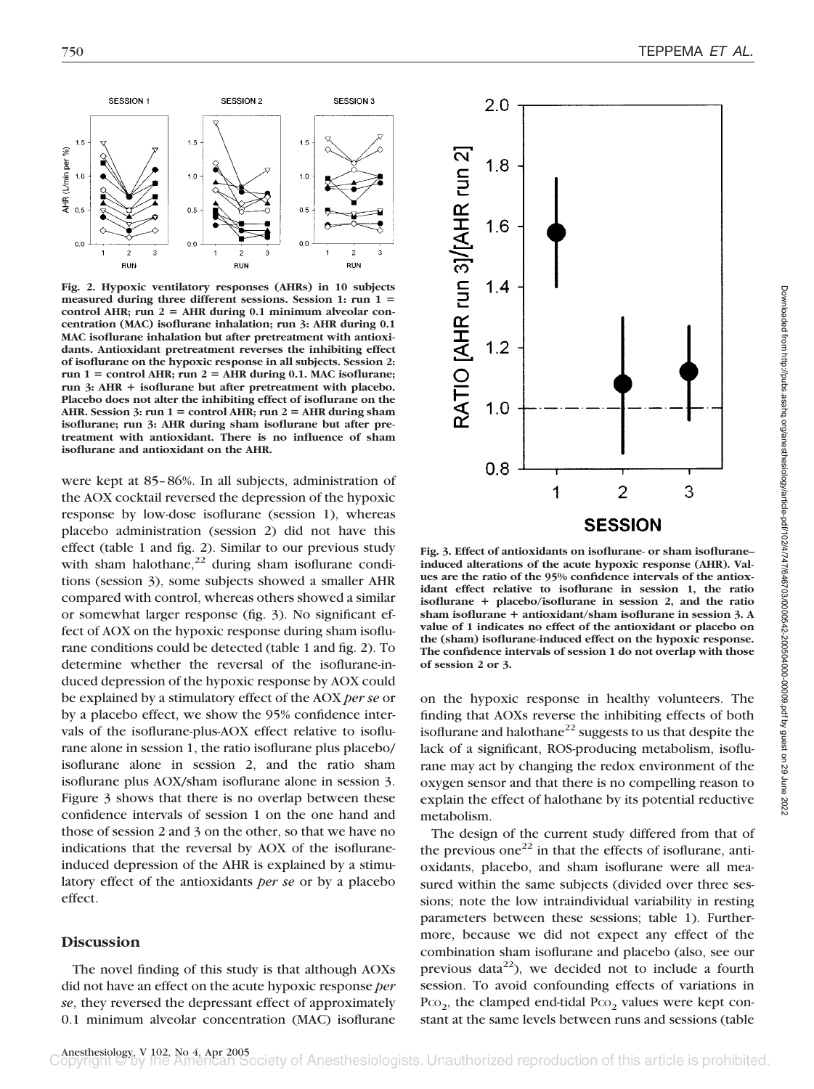

**Fig. 2. Hypoxic ventilatory responses (AHRs) in 10 subjects measured during three different sessions. Session 1: run 1** control AHR; run  $2 =$  AHR during 0.1 minimum alveolar con**centration (MAC) isoflurane inhalation; run 3: AHR during 0.1 MAC isoflurane inhalation but after pretreatment with antioxidants. Antioxidant pretreatment reverses the inhibiting effect of isoflurane on the hypoxic response in all subjects. Session 2:**  $run 1 = control AHR; run 2 = AHR during 0.1. MAC isof.$ **run 3: AHR isoflurane but after pretreatment with placebo. Placebo does not alter the inhibiting effect of isoflurane on the** AHR. Session 3: run  $1 =$  control AHR; run  $2 =$  AHR during sham **isoflurane; run 3: AHR during sham isoflurane but after pretreatment with antioxidant. There is no influence of sham isoflurane and antioxidant on the AHR.**

were kept at 85–86%. In all subjects, administration of the AOX cocktail reversed the depression of the hypoxic response by low-dose isoflurane (session 1), whereas placebo administration (session 2) did not have this effect (table 1 and fig. 2). Similar to our previous study with sham halothane, $2^2$  during sham isoflurane conditions (session 3), some subjects showed a smaller AHR compared with control, whereas others showed a similar or somewhat larger response (fig. 3). No significant effect of AOX on the hypoxic response during sham isoflurane conditions could be detected (table 1 and fig. 2). To determine whether the reversal of the isoflurane-induced depression of the hypoxic response by AOX could be explained by a stimulatory effect of the AOX *per se* or by a placebo effect, we show the 95% confidence intervals of the isoflurane-plus-AOX effect relative to isoflurane alone in session 1, the ratio isoflurane plus placebo/ isoflurane alone in session 2, and the ratio sham isoflurane plus AOX/sham isoflurane alone in session 3. Figure 3 shows that there is no overlap between these confidence intervals of session 1 on the one hand and those of session 2 and 3 on the other, so that we have no indications that the reversal by AOX of the isofluraneinduced depression of the AHR is explained by a stimulatory effect of the antioxidants *per se* or by a placebo effect.

## **Discussion**

The novel finding of this study is that although AOXs did not have an effect on the acute hypoxic response *per se*, they reversed the depressant effect of approximately 0.1 minimum alveolar concentration (MAC) isoflurane



**Fig. 3. Effect of antioxidants on isoflurane- or sham isoflurane– induced alterations of the acute hypoxic response (AHR). Values are the ratio of the 95% confidence intervals of the antioxidant effect relative to isoflurane in session 1, the ratio isoflurane placebo/isoflurane in session 2, and the ratio sham isoflurane antioxidant/sham isoflurane in session 3. A value of 1 indicates no effect of the antioxidant or placebo on the (sham) isoflurane-induced effect on the hypoxic response. The confidence intervals of session 1 do not overlap with those of session 2 or 3.**

on the hypoxic response in healthy volunteers. The finding that AOXs reverse the inhibiting effects of both isoflurane and halothane $^{22}$  suggests to us that despite the lack of a significant, ROS-producing metabolism, isoflurane may act by changing the redox environment of the oxygen sensor and that there is no compelling reason to explain the effect of halothane by its potential reductive metabolism.

The design of the current study differed from that of the previous one<sup>22</sup> in that the effects of isoflurane, antioxidants, placebo, and sham isoflurane were all measured within the same subjects (divided over three sessions; note the low intraindividual variability in resting parameters between these sessions; table 1). Furthermore, because we did not expect any effect of the combination sham isoflurane and placebo (also, see our previous data<sup>22</sup>), we decided not to include a fourth session. To avoid confounding effects of variations in  $P_{CO_2}$ , the clamped end-tidal  $P_{CO_2}$  values were kept constant at the same levels between runs and sessions (table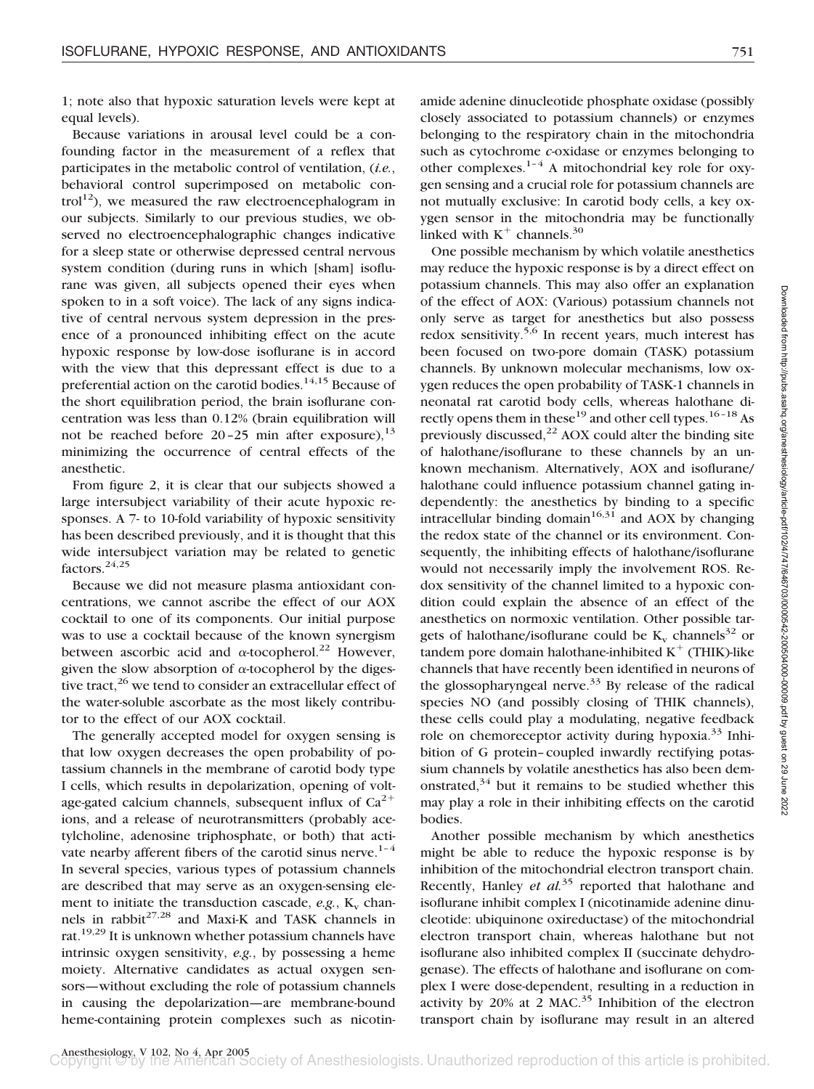1; note also that hypoxic saturation levels were kept at equal levels).

Because variations in arousal level could be a confounding factor in the measurement of a reflex that participates in the metabolic control of ventilation, (*i.e.*, behavioral control superimposed on metabolic control<sup>12</sup>), we measured the raw electroencephalogram in our subjects. Similarly to our previous studies, we observed no electroencephalographic changes indicative for a sleep state or otherwise depressed central nervous system condition (during runs in which [sham] isoflurane was given, all subjects opened their eyes when spoken to in a soft voice). The lack of any signs indicative of central nervous system depression in the presence of a pronounced inhibiting effect on the acute hypoxic response by low-dose isoflurane is in accord with the view that this depressant effect is due to a preferential action on the carotid bodies.<sup>14,15</sup> Because of the short equilibration period, the brain isoflurane concentration was less than 0.12% (brain equilibration will not be reached before  $20-25$  min after exposure),  $^{13}$ minimizing the occurrence of central effects of the anesthetic.

From figure 2, it is clear that our subjects showed a large intersubject variability of their acute hypoxic responses. A 7- to 10-fold variability of hypoxic sensitivity has been described previously, and it is thought that this wide intersubject variation may be related to genetic factors.<sup>24,25</sup>

Because we did not measure plasma antioxidant concentrations, we cannot ascribe the effect of our AOX cocktail to one of its components. Our initial purpose was to use a cocktail because of the known synergism between ascorbic acid and  $\alpha$ -tocopherol.<sup>22</sup> However, given the slow absorption of  $\alpha$ -tocopherol by the digestive tract,  $26$  we tend to consider an extracellular effect of the water-soluble ascorbate as the most likely contributor to the effect of our AOX cocktail.

The generally accepted model for oxygen sensing is that low oxygen decreases the open probability of potassium channels in the membrane of carotid body type I cells, which results in depolarization, opening of voltage-gated calcium channels, subsequent influx of  $Ca^{2+}$ ions, and a release of neurotransmitters (probably acetylcholine, adenosine triphosphate, or both) that activate nearby afferent fibers of the carotid sinus nerve.<sup>1-4</sup> In several species, various types of potassium channels are described that may serve as an oxygen-sensing element to initiate the transduction cascade,  $e.g., K_v$  channels in rabbit<sup>27,28</sup> and Maxi-K and TASK channels in rat.19,29 It is unknown whether potassium channels have intrinsic oxygen sensitivity, *e.g.*, by possessing a heme moiety. Alternative candidates as actual oxygen sensors—without excluding the role of potassium channels in causing the depolarization—are membrane-bound heme-containing protein complexes such as nicotinamide adenine dinucleotide phosphate oxidase (possibly closely associated to potassium channels) or enzymes belonging to the respiratory chain in the mitochondria such as cytochrome *c*-oxidase or enzymes belonging to other complexes.<sup>1–4</sup> A mitochondrial key role for oxygen sensing and a crucial role for potassium channels are not mutually exclusive: In carotid body cells, a key oxygen sensor in the mitochondria may be functionally linked with  $K^+$  channels.<sup>30</sup>

One possible mechanism by which volatile anesthetics may reduce the hypoxic response is by a direct effect on potassium channels. This may also offer an explanation of the effect of AOX: (Various) potassium channels not only serve as target for anesthetics but also possess redox sensitivity.<sup>5,6</sup> In recent years, much interest has been focused on two-pore domain (TASK) potassium channels. By unknown molecular mechanisms, low oxygen reduces the open probability of TASK-1 channels in neonatal rat carotid body cells, whereas halothane directly opens them in these<sup>19</sup> and other cell types.<sup>16-18</sup> As previously discussed, $^{22}$  AOX could alter the binding site of halothane/isoflurane to these channels by an unknown mechanism. Alternatively, AOX and isoflurane/ halothane could influence potassium channel gating independently: the anesthetics by binding to a specific intracellular binding domain $16,31$  and AOX by changing the redox state of the channel or its environment. Consequently, the inhibiting effects of halothane/isoflurane would not necessarily imply the involvement ROS. Redox sensitivity of the channel limited to a hypoxic condition could explain the absence of an effect of the anesthetics on normoxic ventilation. Other possible targets of halothane/isoflurane could be  $K_v$  channels<sup>32</sup> or tandem pore domain halothane-inhibited  $K^+$  (THIK)-like channels that have recently been identified in neurons of the glossopharyngeal nerve.<sup>33</sup> By release of the radical species NO (and possibly closing of THIK channels), these cells could play a modulating, negative feedback role on chemoreceptor activity during hypoxia.<sup>33</sup> Inhibition of G protein–coupled inwardly rectifying potassium channels by volatile anesthetics has also been demonstrated, $34$  but it remains to be studied whether this may play a role in their inhibiting effects on the carotid bodies.

Another possible mechanism by which anesthetics might be able to reduce the hypoxic response is by inhibition of the mitochondrial electron transport chain. Recently, Hanley *et al.*<sup>35</sup> reported that halothane and isoflurane inhibit complex I (nicotinamide adenine dinucleotide: ubiquinone oxireductase) of the mitochondrial electron transport chain, whereas halothane but not isoflurane also inhibited complex II (succinate dehydrogenase). The effects of halothane and isoflurane on complex I were dose-dependent, resulting in a reduction in activity by  $20\%$  at 2 MAC.<sup>35</sup> Inhibition of the electron transport chain by isoflurane may result in an altered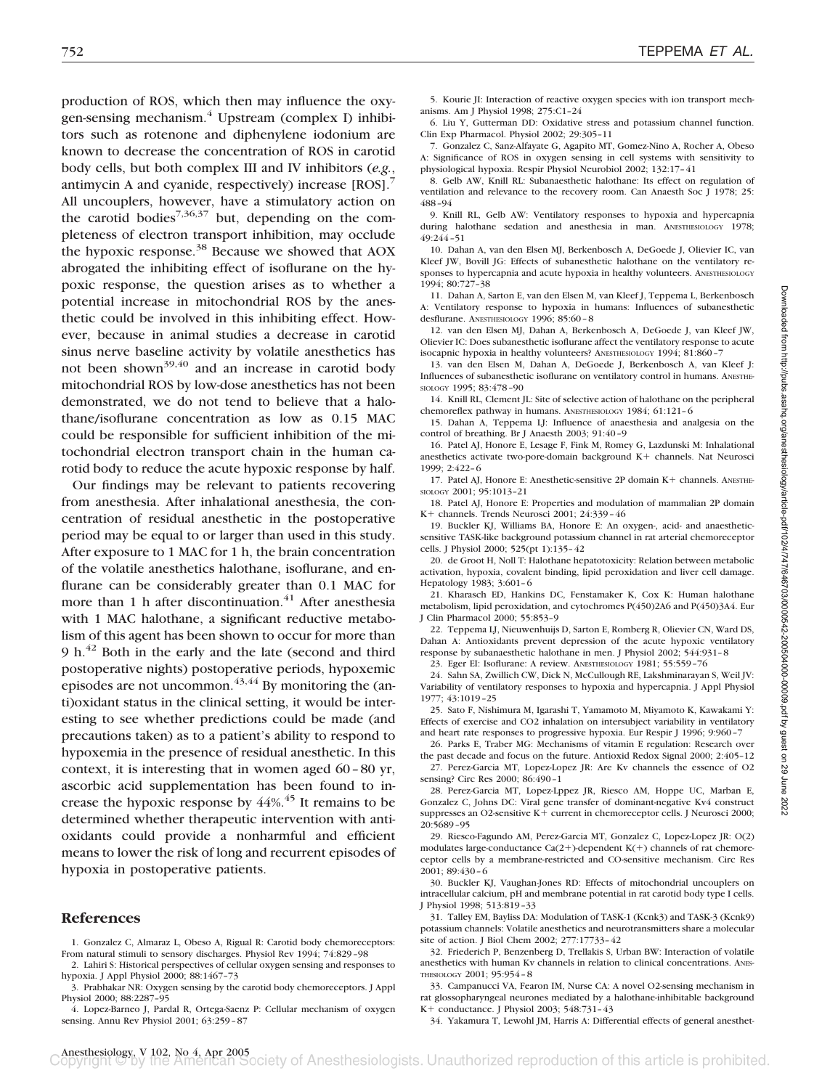production of ROS, which then may influence the oxygen-sensing mechanism. $4$  Upstream (complex I) inhibitors such as rotenone and diphenylene iodonium are known to decrease the concentration of ROS in carotid body cells, but both complex III and IV inhibitors (*e.g.*, antimycin A and cyanide, respectively) increase [ROS].7 All uncouplers, however, have a stimulatory action on the carotid bodies<sup>7,36,37</sup> but, depending on the completeness of electron transport inhibition, may occlude the hypoxic response.<sup>38</sup> Because we showed that AOX abrogated the inhibiting effect of isoflurane on the hypoxic response, the question arises as to whether a potential increase in mitochondrial ROS by the anesthetic could be involved in this inhibiting effect. However, because in animal studies a decrease in carotid sinus nerve baseline activity by volatile anesthetics has not been shown<sup>39,40</sup> and an increase in carotid body mitochondrial ROS by low-dose anesthetics has not been demonstrated, we do not tend to believe that a halothane/isoflurane concentration as low as 0.15 MAC could be responsible for sufficient inhibition of the mitochondrial electron transport chain in the human carotid body to reduce the acute hypoxic response by half.

Our findings may be relevant to patients recovering from anesthesia. After inhalational anesthesia, the concentration of residual anesthetic in the postoperative period may be equal to or larger than used in this study. After exposure to 1 MAC for 1 h, the brain concentration of the volatile anesthetics halothane, isoflurane, and enflurane can be considerably greater than 0.1 MAC for more than 1 h after discontinuation. $41$  After anesthesia with 1 MAC halothane, a significant reductive metabolism of this agent has been shown to occur for more than 9 h.<sup>42</sup> Both in the early and the late (second and third postoperative nights) postoperative periods, hypoxemic episodes are not uncommon.  $43,44$  By monitoring the (anti)oxidant status in the clinical setting, it would be interesting to see whether predictions could be made (and precautions taken) as to a patient's ability to respond to hypoxemia in the presence of residual anesthetic. In this context, it is interesting that in women aged 60–80 yr, ascorbic acid supplementation has been found to increase the hypoxic response by  $44\%$ .<sup>45</sup> It remains to be determined whether therapeutic intervention with antioxidants could provide a nonharmful and efficient means to lower the risk of long and recurrent episodes of hypoxia in postoperative patients.

## **References**

- 1. Gonzalez C, Almaraz L, Obeso A, Rigual R: Carotid body chemoreceptors: From natural stimuli to sensory discharges. Physiol Rev 1994; 74:829–98
- 2. Lahiri S: Historical perspectives of cellular oxygen sensing and responses to hypoxia. J Appl Physiol 2000; 88:1467–73
- 3. Prabhakar NR: Oxygen sensing by the carotid body chemoreceptors. J Appl Physiol 2000; 88:2287–95

4. Lopez-Barneo J, Pardal R, Ortega-Saenz P: Cellular mechanism of oxygen sensing. Annu Rev Physiol 2001; 63:259–87

5. Kourie JI: Interaction of reactive oxygen species with ion transport mechanisms. Am J Physiol 1998; 275:C1–24

6. Liu Y, Gutterman DD: Oxidative stress and potassium channel function. Clin Exp Pharmacol. Physiol 2002; 29:305–11

7. Gonzalez C, Sanz-Alfayate G, Agapito MT, Gomez-Nino A, Rocher A, Obeso A: Significance of ROS in oxygen sensing in cell systems with sensitivity to physiological hypoxia. Respir Physiol Neurobiol 2002; 132:17–41

8. Gelb AW, Knill RL: Subanaesthetic halothane: Its effect on regulation of ventilation and relevance to the recovery room. Can Anaesth Soc J 1978; 25: 488–94

9. Knill RL, Gelb AW: Ventilatory responses to hypoxia and hypercapnia during halothane sedation and anesthesia in man. ANESTHESIOLOGY 1978; 49:244–51

10. Dahan A, van den Elsen MJ, Berkenbosch A, DeGoede J, Olievier IC, van Kleef JW, Bovill JG: Effects of subanesthetic halothane on the ventilatory responses to hypercapnia and acute hypoxia in healthy volunteers. ANESTHESIOLOGY 1994; 80:727–38

11. Dahan A, Sarton E, van den Elsen M, van Kleef J, Teppema L, Berkenbosch A: Ventilatory response to hypoxia in humans: Influences of subanesthetic desflurane. ANESTHESIOLOGY 1996; 85:60–8

12. van den Elsen MJ, Dahan A, Berkenbosch A, DeGoede J, van Kleef JW, Olievier IC: Does subanesthetic isoflurane affect the ventilatory response to acute isocapnic hypoxia in healthy volunteers? ANESTHESIOLOGY 1994; 81:860–7

13. van den Elsen M, Dahan A, DeGoede J, Berkenbosch A, van Kleef J: Influences of subanesthetic isoflurane on ventilatory control in humans. ANESTHE-SIOLOGY 1995; 83:478–90

14. Knill RL, Clement JL: Site of selective action of halothane on the peripheral chemoreflex pathway in humans. ANESTHESIOLOGY 1984; 61:121–6

15. Dahan A, Teppema LJ: Influence of anaesthesia and analgesia on the control of breathing. Br J Anaesth 2003; 91:40–9

16. Patel AJ, Honore E, Lesage F, Fink M, Romey G, Lazdunski M: Inhalational anesthetics activate two-pore-domain background K+ channels. Nat Neurosci 1999; 2:422–6

17. Patel AJ, Honore E: Anesthetic-sensitive 2P domain K + channels. ANESTHE-SIOLOGY 2001; 95:1013–21

18. Patel AJ, Honore E: Properties and modulation of mammalian 2P domain K+ channels. Trends Neurosci 2001; 24:339-46

19. Buckler KJ, Williams BA, Honore E: An oxygen-, acid- and anaestheticsensitive TASK-like background potassium channel in rat arterial chemoreceptor cells. J Physiol 2000; 525(pt 1):135–42

20. de Groot H, Noll T: Halothane hepatotoxicity: Relation between metabolic activation, hypoxia, covalent binding, lipid peroxidation and liver cell damage. Hepatology 1983; 3:601–6

21. Kharasch ED, Hankins DC, Fenstamaker K, Cox K: Human halothane metabolism, lipid peroxidation, and cytochromes P(450)2A6 and P(450)3A4. Eur J Clin Pharmacol 2000; 55:853–9

22. Teppema LJ, Nieuwenhuijs D, Sarton E, Romberg R, Olievier CN, Ward DS, Dahan A: Antioxidants prevent depression of the acute hypoxic ventilatory response by subanaesthetic halothane in men. J Physiol 2002; 544:931–8

23. Eger EI: Isoflurane: A review. ANESTHESIOLOGY 1981; 55:559–76

24. Sahn SA, Zwillich CW, Dick N, McCullough RE, Lakshminarayan S, Weil JV: Variability of ventilatory responses to hypoxia and hypercapnia. J Appl Physiol 1977; 43:1019–25

25. Sato F, Nishimura M, Igarashi T, Yamamoto M, Miyamoto K, Kawakami Y: Effects of exercise and CO2 inhalation on intersubject variability in ventilatory and heart rate responses to progressive hypoxia. Eur Respir J 1996; 9:960–7

26. Parks E, Traber MG: Mechanisms of vitamin E regulation: Research over the past decade and focus on the future. Antioxid Redox Signal 2000; 2:405–12 27. Perez-Garcia MT, Lopez-Lopez JR: Are Kv channels the essence of O2 sensing? Circ Res 2000; 86:490–1

28. Perez-Garcia MT, Lopez-Lppez JR, Riesco AM, Hoppe UC, Marban E, Gonzalez C, Johns DC: Viral gene transfer of dominant-negative Kv4 construct suppresses an O2-sensitive  $K<sup>+</sup>$  current in chemoreceptor cells. J Neurosci 2000; 20:5689–95

29. Riesco-Fagundo AM, Perez-Garcia MT, Gonzalez C, Lopez-Lopez JR: O(2) modulates large-conductance Ca(2+)-dependent  $K(+)$  channels of rat chemoreceptor cells by a membrane-restricted and CO-sensitive mechanism. Circ Res 2001; 89:430–6

30. Buckler KJ, Vaughan-Jones RD: Effects of mitochondrial uncouplers on intracellular calcium, pH and membrane potential in rat carotid body type I cells. J Physiol 1998; 513:819–33

31. Talley EM, Bayliss DA: Modulation of TASK-1 (Kcnk3) and TASK-3 (Kcnk9) potassium channels: Volatile anesthetics and neurotransmitters share a molecular site of action. J Biol Chem 2002; 277:17733–42

32. Friederich P, Benzenberg D, Trellakis S, Urban BW: Interaction of volatile anesthetics with human Kv channels in relation to clinical concentrations. ANES-THESIOLOGY 2001; 95:954–8

33. Campanucci VA, Fearon IM, Nurse CA: A novel O2-sensing mechanism in rat glossopharyngeal neurones mediated by a halothane-inhibitable background K + conductance. J Physiol 2003:  $548:731-43$ 

34. Yakamura T, Lewohl JM, Harris A: Differential effects of general anesthet-